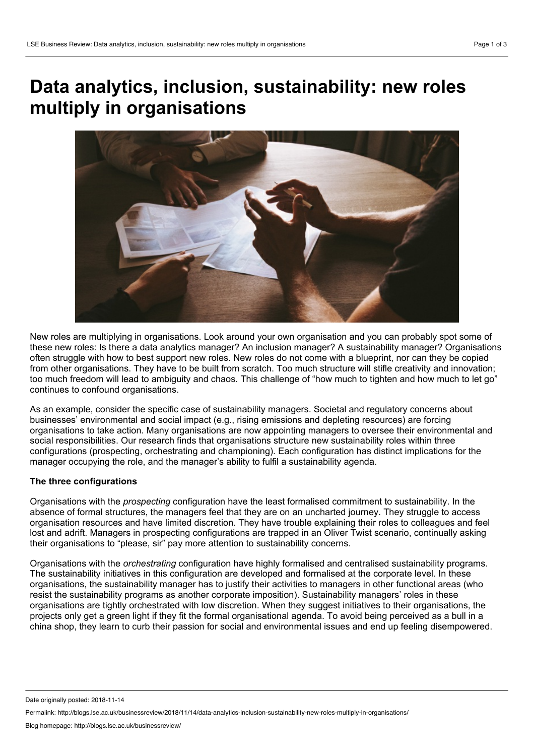# **Data analytics, inclusion, sustainability: new roles multiply in organisations**



New roles are multiplying in organisations. Look around your own organisation and you can probably spot some of these new roles: Is there a data analytics manager? An inclusion manager? A sustainability manager? Organisations often struggle with how to best support new roles. New roles do not come with a blueprint, nor can they be copied from other organisations. They have to be built from scratch. Too much structure will stifle creativity and innovation; too much freedom will lead to ambiguity and chaos. This challenge of "how much to tighten and how much to let go" continues to confound organisations.

As an example, consider the specific case of sustainability managers. Societal and regulatory concerns about businesses' environmental and social impact (e.g., rising emissions and depleting resources) are forcing organisations to take action. Many organisations are now appointing managers to oversee their environmental and social responsibilities. Our research finds that organisations structure new sustainability roles within three configurations (prospecting, orchestrating and championing). Each configuration has distinct implications for the manager occupying the role, and the manager's ability to fulfil a sustainability agenda.

# **The three configurations**

Organisations with the *prospecting* configuration have the least formalised commitment to sustainability. In the absence of formal structures, the managers feel that they are on an uncharted journey. They struggle to access organisation resources and have limited discretion. They have trouble explaining their roles to colleagues and feel lost and adrift. Managers in prospecting configurations are trapped in an Oliver Twist scenario, continually asking their organisations to "please, sir" pay more attention to sustainability concerns.

Organisations with the *orchestrating* configuration have highly formalised and centralised sustainability programs. The sustainability initiatives in this configuration are developed and formalised at the corporate level. In these organisations, the sustainability manager has to justify their activities to managers in other functional areas (who resist the sustainability programs as another corporate imposition). Sustainability managers' roles in these organisations are tightly orchestrated with low discretion. When they suggest initiatives to their organisations, the projects only get a green light if they fit the formal organisational agenda. To avoid being perceived as a bull in a china shop, they learn to curb their passion for social and environmental issues and end up feeling disempowered.

Date originally posted: 2018-11-14

Permalink: http://blogs.lse.ac.uk/businessreview/2018/11/14/data-analytics-inclusion-sustainability-new-roles-multiply-in-organisations/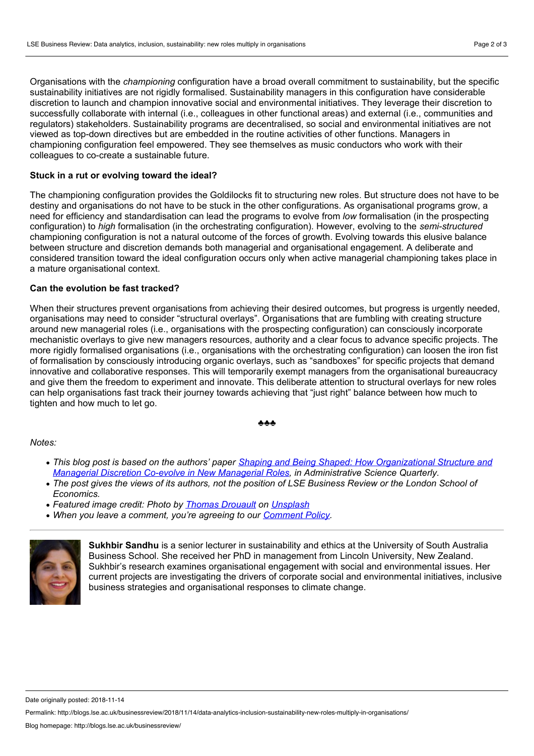Organisations with the *championing* configuration have a broad overall commitment to sustainability, but the specific sustainability initiatives are not rigidly formalised. Sustainability managers in this configuration have considerable discretion to launch and champion innovative social and environmental initiatives. They leverage their discretion to successfully collaborate with internal (i.e., colleagues in other functional areas) and external (i.e., communities and regulators) stakeholders. Sustainability programs are decentralised, so social and environmental initiatives are not viewed as top-down directives but are embedded in the routine activities of other functions. Managers in championing configuration feel empowered. They see themselves as music conductors who work with their colleagues to co-create a sustainable future.

## **Stuck in a rutor evolving toward the ideal?**

The championing configuration provides the Goldilocks fit to structuring new roles. But structure does not have to be destiny and organisations do not have to be stuck in the other configurations. As organisational programs grow, a need for efficiency and standardisation can lead the programs to evolve from *low* formalisation (in the prospecting configuration) to *high* formalisation (in the orchestrating configuration). However, evolving to the *semi-structured* championing configuration is not a natural outcome of the forces of growth. Evolving towards this elusive balance between structure and discretion demands both managerial and organisational engagement. A deliberate and considered transition toward the ideal configuration occurs only when active managerial championing takes place in a mature organisational context.

### **Can the evolution be fast tracked?**

When their structures prevent organisations from achieving their desired outcomes, but progress is urgently needed, organisations may need to consider "structural overlays". Organisations that are fumbling with creating structure around new managerial roles (i.e., organisations with the prospecting configuration) can consciously incorporate mechanistic overlays to give new managers resources, authority and a clear focus to advance specific projects. The more rigidly formalised organisations (i.e., organisations with the orchestrating configuration) can loosen the iron fist of formalisation by consciously introducing organic overlays, such as "sandboxes" for specific projects that demand innovative and collaborative responses. This will temporarily exempt managers from the organisational bureaucracy and give them the freedom to experiment and innovate. This deliberate attention to structural overlays for new roles can help organisations fast track their journey towards achieving that"just right" balance between how much to tighten and how much to let go.

#### ♣♣♣

#### *Notes:*

- *This blog post is based on the authors' paper Shaping and Being Shaped: How [Organizational](http://journals.sagepub.com/doi/abs/10.1177/0001839218778018) Structure and Managerial Discretion Co-evolve in New Managerial Roles, in Administrative Science Quarterly.*
- The post gives the views of its authors, not the position of LSE Business Review or the London School of *Economics.*
- *Featured image credit: Photo by Thomas [Drouault](https://unsplash.com/photos/IBUcu_9vXJc?utm_source=unsplash&utm_medium=referral&utm_content=creditCopyText) on [Unsplash](https://unsplash.com/?utm_source=unsplash&utm_medium=referral&utm_content=creditCopyText)*
- *When you leave a comment, you're agreeing to our [Comment](http://blogs.lse.ac.uk/businessreview/comment-policy/) Policy.*



**Sukhbir Sandhu** is a senior lecturer in sustainability and ethics at the University of South Australia Business School. She received her PhD in management from Lincoln University, New Zealand. Sukhbir's research examines organisational engagement with social and environmental issues. Her current projects are investigating the drivers of corporate social and environmental initiatives, inclusive business strategies and organisational responses to climate change.

Date originally posted: 2018-11-14

Permalink: http://blogs.lse.ac.uk/businessreview/2018/11/14/data-analytics-inclusion-sustainability-new-roles-multiply-in-organisations/